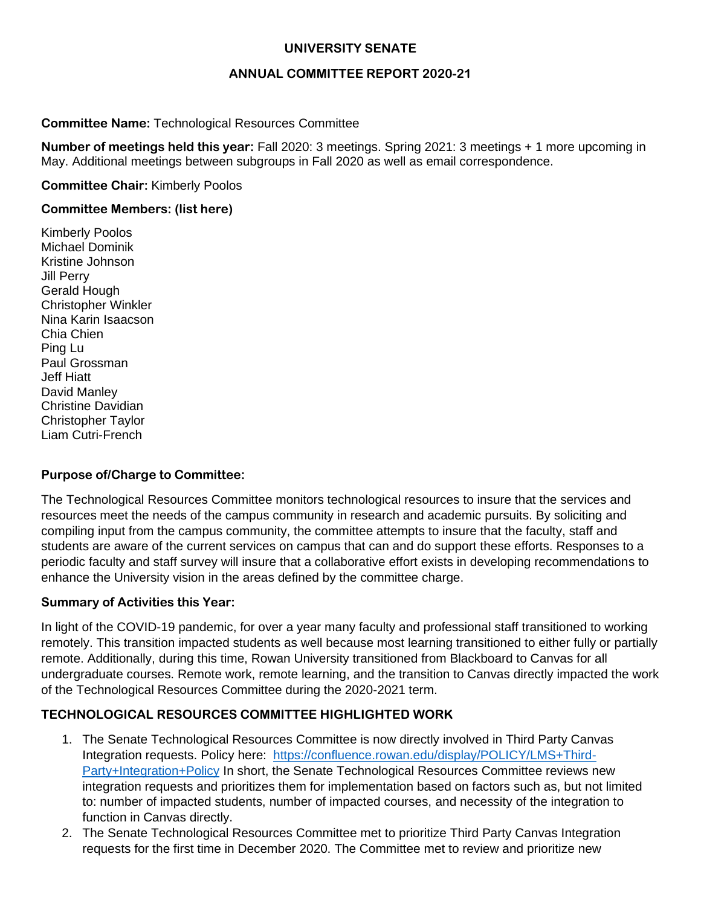## **UNIVERSITY SENATE**

## **ANNUAL COMMITTEE REPORT 2020-21**

## **Committee Name:** Technological Resources Committee

**Number of meetings held this year:** Fall 2020: 3 meetings. Spring 2021: 3 meetings + 1 more upcoming in May. Additional meetings between subgroups in Fall 2020 as well as email correspondence.

**Committee Chair:** Kimberly Poolos

### **Committee Members: (list here)**

Kimberly Poolos Michael Dominik Kristine Johnson Jill Perry Gerald Hough Christopher Winkler Nina Karin Isaacson Chia Chien Ping Lu Paul Grossman Jeff Hiatt David Manley Christine Davidian Christopher Taylor Liam Cutri-French

### **Purpose of/Charge to Committee:**

The Technological Resources Committee monitors technological resources to insure that the services and resources meet the needs of the campus community in research and academic pursuits. By soliciting and compiling input from the campus community, the committee attempts to insure that the faculty, staff and students are aware of the current services on campus that can and do support these efforts. Responses to a periodic faculty and staff survey will insure that a collaborative effort exists in developing recommendations to enhance the University vision in the areas defined by the committee charge.

### **Summary of Activities this Year:**

In light of the COVID-19 pandemic, for over a year many faculty and professional staff transitioned to working remotely. This transition impacted students as well because most learning transitioned to either fully or partially remote. Additionally, during this time, Rowan University transitioned from Blackboard to Canvas for all undergraduate courses. Remote work, remote learning, and the transition to Canvas directly impacted the work of the Technological Resources Committee during the 2020-2021 term.

# **TECHNOLOGICAL RESOURCES COMMITTEE HIGHLIGHTED WORK**

- 1. The Senate Technological Resources Committee is now directly involved in Third Party Canvas Integration requests. Policy here: [https://confluence.rowan.edu/display/POLICY/LMS+Third-](https://confluence.rowan.edu/display/POLICY/LMS+Third-Party+Integration+Policy)[Party+Integration+Policy](https://confluence.rowan.edu/display/POLICY/LMS+Third-Party+Integration+Policy) In short, the Senate Technological Resources Committee reviews new integration requests and prioritizes them for implementation based on factors such as, but not limited to: number of impacted students, number of impacted courses, and necessity of the integration to function in Canvas directly.
- 2. The Senate Technological Resources Committee met to prioritize Third Party Canvas Integration requests for the first time in December 2020. The Committee met to review and prioritize new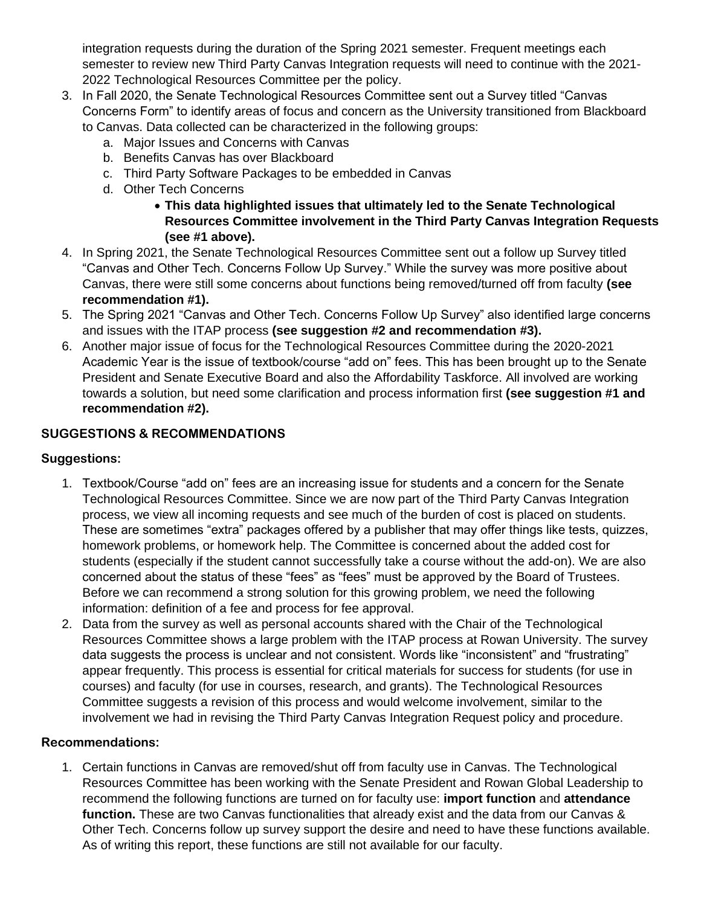integration requests during the duration of the Spring 2021 semester. Frequent meetings each semester to review new Third Party Canvas Integration requests will need to continue with the 2021- 2022 Technological Resources Committee per the policy.

- 3. In Fall 2020, the Senate Technological Resources Committee sent out a Survey titled "Canvas Concerns Form" to identify areas of focus and concern as the University transitioned from Blackboard to Canvas. Data collected can be characterized in the following groups:
	- a. Major Issues and Concerns with Canvas
	- b. Benefits Canvas has over Blackboard
	- c. Third Party Software Packages to be embedded in Canvas
	- d. Other Tech Concerns
		- **This data highlighted issues that ultimately led to the Senate Technological Resources Committee involvement in the Third Party Canvas Integration Requests (see #1 above).**
- 4. In Spring 2021, the Senate Technological Resources Committee sent out a follow up Survey titled "Canvas and Other Tech. Concerns Follow Up Survey." While the survey was more positive about Canvas, there were still some concerns about functions being removed/turned off from faculty **(see recommendation #1).**
- 5. The Spring 2021 "Canvas and Other Tech. Concerns Follow Up Survey" also identified large concerns and issues with the ITAP process **(see suggestion #2 and recommendation #3).**
- 6. Another major issue of focus for the Technological Resources Committee during the 2020-2021 Academic Year is the issue of textbook/course "add on" fees. This has been brought up to the Senate President and Senate Executive Board and also the Affordability Taskforce. All involved are working towards a solution, but need some clarification and process information first **(see suggestion #1 and recommendation #2).**

# **SUGGESTIONS & RECOMMENDATIONS**

# **Suggestions:**

- 1. Textbook/Course "add on" fees are an increasing issue for students and a concern for the Senate Technological Resources Committee. Since we are now part of the Third Party Canvas Integration process, we view all incoming requests and see much of the burden of cost is placed on students. These are sometimes "extra" packages offered by a publisher that may offer things like tests, quizzes, homework problems, or homework help. The Committee is concerned about the added cost for students (especially if the student cannot successfully take a course without the add-on). We are also concerned about the status of these "fees" as "fees" must be approved by the Board of Trustees. Before we can recommend a strong solution for this growing problem, we need the following information: definition of a fee and process for fee approval.
- 2. Data from the survey as well as personal accounts shared with the Chair of the Technological Resources Committee shows a large problem with the ITAP process at Rowan University. The survey data suggests the process is unclear and not consistent. Words like "inconsistent" and "frustrating" appear frequently. This process is essential for critical materials for success for students (for use in courses) and faculty (for use in courses, research, and grants). The Technological Resources Committee suggests a revision of this process and would welcome involvement, similar to the involvement we had in revising the Third Party Canvas Integration Request policy and procedure.

### **Recommendations:**

1. Certain functions in Canvas are removed/shut off from faculty use in Canvas. The Technological Resources Committee has been working with the Senate President and Rowan Global Leadership to recommend the following functions are turned on for faculty use: **import function** and **attendance function.** These are two Canvas functionalities that already exist and the data from our Canvas & Other Tech. Concerns follow up survey support the desire and need to have these functions available. As of writing this report, these functions are still not available for our faculty.